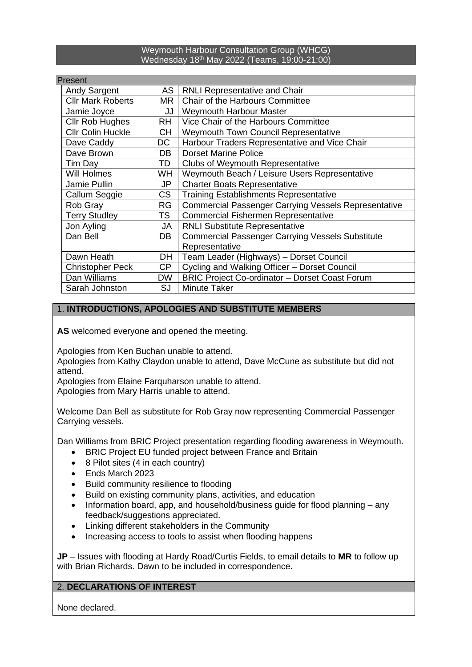#### Weymouth Harbour Consultation Group (WHCG) Wednesday 18<sup>th</sup> May 2022 (Teams, 19:00-21:00)

# Present

| AS        | <b>RNLI Representative and Chair</b>                        |
|-----------|-------------------------------------------------------------|
| MR.       | Chair of the Harbours Committee                             |
| JJ        | <b>Weymouth Harbour Master</b>                              |
| <b>RH</b> | Vice Chair of the Harbours Committee                        |
| СH        | <b>Weymouth Town Council Representative</b>                 |
| DC        | Harbour Traders Representative and Vice Chair               |
| DB        | <b>Dorset Marine Police</b>                                 |
| TD        | <b>Clubs of Weymouth Representative</b>                     |
| WH.       | Weymouth Beach / Leisure Users Representative               |
| JP        | <b>Charter Boats Representative</b>                         |
| CS        | <b>Training Establishments Representative</b>               |
| RG        | <b>Commercial Passenger Carrying Vessels Representative</b> |
| TS.       | <b>Commercial Fishermen Representative</b>                  |
| JA        | <b>RNLI Substitute Representative</b>                       |
| DB        | <b>Commercial Passenger Carrying Vessels Substitute</b>     |
|           | Representative                                              |
| DH        | Team Leader (Highways) - Dorset Council                     |
| CP.       | Cycling and Walking Officer - Dorset Council                |
| <b>DW</b> | <b>BRIC Project Co-ordinator - Dorset Coast Forum</b>       |
| <b>SJ</b> | <b>Minute Taker</b>                                         |
|           |                                                             |

### 1. **INTRODUCTIONS, APOLOGIES AND SUBSTITUTE MEMBERS**

**AS** welcomed everyone and opened the meeting.

Apologies from Ken Buchan unable to attend.

Apologies from Kathy Claydon unable to attend, Dave McCune as substitute but did not attend.

Apologies from Elaine Farquharson unable to attend.

Apologies from Mary Harris unable to attend.

Welcome Dan Bell as substitute for Rob Gray now representing Commercial Passenger Carrying vessels.

Dan Williams from BRIC Project presentation regarding flooding awareness in Weymouth.

- BRIC Project EU funded project between France and Britain
- 8 Pilot sites (4 in each country)
- Ends March 2023
- Build community resilience to flooding
- Build on existing community plans, activities, and education
- Information board, app, and household/business quide for flood planning any feedback/suggestions appreciated.
- Linking different stakeholders in the Community
- Increasing access to tools to assist when flooding happens

**JP** – Issues with flooding at Hardy Road/Curtis Fields, to email details to **MR** to follow up with Brian Richards. Dawn to be included in correspondence.

### 2. **DECLARATIONS OF INTEREST**

None declared.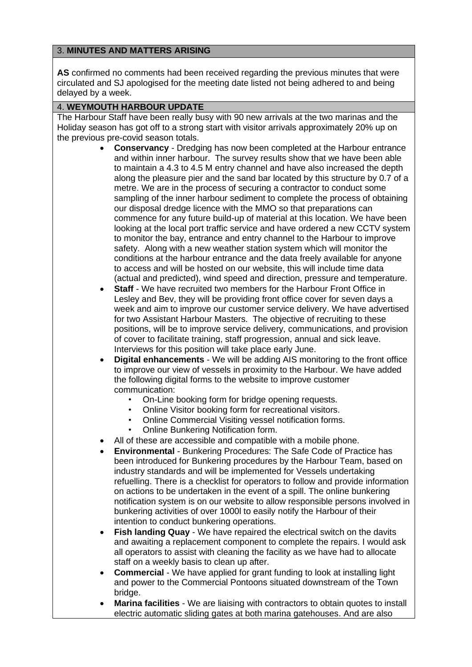## 3. **MINUTES AND MATTERS ARISING**

**AS** confirmed no comments had been received regarding the previous minutes that were circulated and SJ apologised for the meeting date listed not being adhered to and being delayed by a week.

### 4. **WEYMOUTH HARBOUR UPDATE**

The Harbour Staff have been really busy with 90 new arrivals at the two marinas and the Holiday season has got off to a strong start with visitor arrivals approximately 20% up on the previous pre-covid season totals.

- **Conservancy** Dredging has now been completed at the Harbour entrance and within inner harbour. The survey results show that we have been able to maintain a 4.3 to 4.5 M entry channel and have also increased the depth along the pleasure pier and the sand bar located by this structure by 0.7 of a metre. We are in the process of securing a contractor to conduct some sampling of the inner harbour sediment to complete the process of obtaining our disposal dredge licence with the MMO so that preparations can commence for any future build-up of material at this location. We have been looking at the local port traffic service and have ordered a new CCTV system to monitor the bay, entrance and entry channel to the Harbour to improve safety. Along with a new weather station system which will monitor the conditions at the harbour entrance and the data freely available for anyone to access and will be hosted on our website, this will include time data (actual and predicted), wind speed and direction, pressure and temperature.
- **Staff** We have recruited two members for the Harbour Front Office in Lesley and Bev, they will be providing front office cover for seven days a week and aim to improve our customer service delivery. We have advertised for two Assistant Harbour Masters. The objective of recruiting to these positions, will be to improve service delivery, communications, and provision of cover to facilitate training, staff progression, annual and sick leave. Interviews for this position will take place early June.
- **Digital enhancements** We will be adding AIS monitoring to the front office to improve our view of vessels in proximity to the Harbour. We have added the following digital forms to the website to improve customer communication:
	- On-Line booking form for bridge opening requests.
	- Online Visitor booking form for recreational visitors.
	- Online Commercial Visiting vessel notification forms.
	- Online Bunkering Notification form.
- All of these are accessible and compatible with a mobile phone.
- **Environmental** Bunkering Procedures: The Safe Code of Practice has been introduced for Bunkering procedures by the Harbour Team, based on industry standards and will be implemented for Vessels undertaking refuelling. There is a checklist for operators to follow and provide information on actions to be undertaken in the event of a spill. The online bunkering notification system is on our website to allow responsible persons involved in bunkering activities of over 1000l to easily notify the Harbour of their intention to conduct bunkering operations.
- **Fish landing Quay** We have repaired the electrical switch on the davits and awaiting a replacement component to complete the repairs. I would ask all operators to assist with cleaning the facility as we have had to allocate staff on a weekly basis to clean up after.
- **Commercial** We have applied for grant funding to look at installing light and power to the Commercial Pontoons situated downstream of the Town bridge.
- **Marina facilities** We are liaising with contractors to obtain quotes to install electric automatic sliding gates at both marina gatehouses. And are also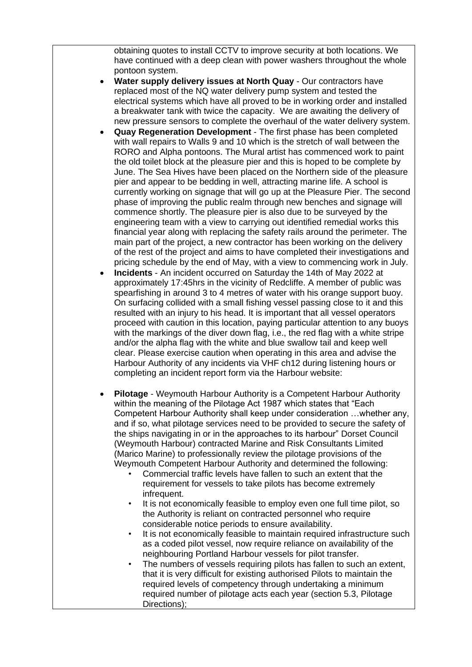obtaining quotes to install CCTV to improve security at both locations. We have continued with a deep clean with power washers throughout the whole pontoon system.

- **Water supply delivery issues at North Quay** Our contractors have replaced most of the NQ water delivery pump system and tested the electrical systems which have all proved to be in working order and installed a breakwater tank with twice the capacity. We are awaiting the delivery of new pressure sensors to complete the overhaul of the water delivery system.
- **Quay Regeneration Development** The first phase has been completed with wall repairs to Walls 9 and 10 which is the stretch of wall between the RORO and Alpha pontoons. The Mural artist has commenced work to paint the old toilet block at the pleasure pier and this is hoped to be complete by June. The Sea Hives have been placed on the Northern side of the pleasure pier and appear to be bedding in well, attracting marine life. A school is currently working on signage that will go up at the Pleasure Pier. The second phase of improving the public realm through new benches and signage will commence shortly. The pleasure pier is also due to be surveyed by the engineering team with a view to carrying out identified remedial works this financial year along with replacing the safety rails around the perimeter. The main part of the project, a new contractor has been working on the delivery of the rest of the project and aims to have completed their investigations and pricing schedule by the end of May, with a view to commencing work in July.
- **Incidents** An incident occurred on Saturday the 14th of May 2022 at approximately 17:45hrs in the vicinity of Redcliffe. A member of public was spearfishing in around 3 to 4 metres of water with his orange support buoy. On surfacing collided with a small fishing vessel passing close to it and this resulted with an injury to his head. It is important that all vessel operators proceed with caution in this location, paying particular attention to any buoys with the markings of the diver down flag, i.e., the red flag with a white stripe and/or the alpha flag with the white and blue swallow tail and keep well clear. Please exercise caution when operating in this area and advise the Harbour Authority of any incidents via VHF ch12 during listening hours or completing an incident report form via the Harbour website:
- **Pilotage** Weymouth Harbour Authority is a Competent Harbour Authority within the meaning of the Pilotage Act 1987 which states that "Each Competent Harbour Authority shall keep under consideration …whether any, and if so, what pilotage services need to be provided to secure the safety of the ships navigating in or in the approaches to its harbour" Dorset Council (Weymouth Harbour) contracted Marine and Risk Consultants Limited (Marico Marine) to professionally review the pilotage provisions of the Weymouth Competent Harbour Authority and determined the following:
	- Commercial traffic levels have fallen to such an extent that the requirement for vessels to take pilots has become extremely infrequent.
	- It is not economically feasible to employ even one full time pilot, so the Authority is reliant on contracted personnel who require considerable notice periods to ensure availability.
	- It is not economically feasible to maintain required infrastructure such as a coded pilot vessel, now require reliance on availability of the neighbouring Portland Harbour vessels for pilot transfer.
	- The numbers of vessels requiring pilots has fallen to such an extent, that it is very difficult for existing authorised Pilots to maintain the required levels of competency through undertaking a minimum required number of pilotage acts each year (section 5.3, Pilotage Directions);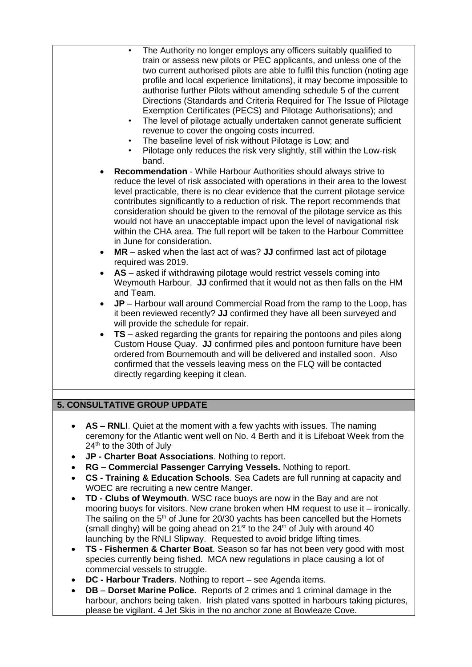| $\bullet$<br>$\bullet$<br>$\bullet$                                                       | The Authority no longer employs any officers suitably qualified to<br>train or assess new pilots or PEC applicants, and unless one of the<br>two current authorised pilots are able to fulfil this function (noting age<br>profile and local experience limitations), it may become impossible to<br>authorise further Pilots without amending schedule 5 of the current<br>Directions (Standards and Criteria Required for The Issue of Pilotage<br>Exemption Certificates (PECS) and Pilotage Authorisations); and<br>The level of pilotage actually undertaken cannot generate sufficient<br>revenue to cover the ongoing costs incurred.<br>The baseline level of risk without Pilotage is Low; and<br>Pilotage only reduces the risk very slightly, still within the Low-risk<br>band.<br>Recommendation - While Harbour Authorities should always strive to<br>reduce the level of risk associated with operations in their area to the lowest<br>level practicable, there is no clear evidence that the current pilotage service<br>contributes significantly to a reduction of risk. The report recommends that<br>consideration should be given to the removal of the pilotage service as this<br>would not have an unacceptable impact upon the level of navigational risk<br>within the CHA area. The full report will be taken to the Harbour Committee<br>in June for consideration.<br>MR – asked when the last act of was? JJ confirmed last act of pilotage<br>required was 2019.<br>AS - asked if withdrawing pilotage would restrict vessels coming into<br>Weymouth Harbour. JJ confirmed that it would not as then falls on the HM<br>and Team.<br>$JP$ – Harbour wall around Commercial Road from the ramp to the Loop, has<br>it been reviewed recently? JJ confirmed they have all been surveyed and<br>will provide the schedule for repair.<br>TS - asked regarding the grants for repairing the pontoons and piles along<br>Custom House Quay. JJ confirmed piles and pontoon furniture have been<br>ordered from Bournemouth and will be delivered and installed soon. Also<br>confirmed that the vessels leaving mess on the FLQ will be contacted<br>directly regarding keeping it clean. |
|-------------------------------------------------------------------------------------------|------------------------------------------------------------------------------------------------------------------------------------------------------------------------------------------------------------------------------------------------------------------------------------------------------------------------------------------------------------------------------------------------------------------------------------------------------------------------------------------------------------------------------------------------------------------------------------------------------------------------------------------------------------------------------------------------------------------------------------------------------------------------------------------------------------------------------------------------------------------------------------------------------------------------------------------------------------------------------------------------------------------------------------------------------------------------------------------------------------------------------------------------------------------------------------------------------------------------------------------------------------------------------------------------------------------------------------------------------------------------------------------------------------------------------------------------------------------------------------------------------------------------------------------------------------------------------------------------------------------------------------------------------------------------------------------------------------------------------------------------------------------------------------------------------------------------------------------------------------------------------------------------------------------------------------------------------------------------------------------------------------------------------------------------------------------------------------------------------------------------------------------------------------------------------------------------------------------------|
|                                                                                           |                                                                                                                                                                                                                                                                                                                                                                                                                                                                                                                                                                                                                                                                                                                                                                                                                                                                                                                                                                                                                                                                                                                                                                                                                                                                                                                                                                                                                                                                                                                                                                                                                                                                                                                                                                                                                                                                                                                                                                                                                                                                                                                                                                                                                        |
|                                                                                           | 5. CONSULTATIVE GROUP UPDATE                                                                                                                                                                                                                                                                                                                                                                                                                                                                                                                                                                                                                                                                                                                                                                                                                                                                                                                                                                                                                                                                                                                                                                                                                                                                                                                                                                                                                                                                                                                                                                                                                                                                                                                                                                                                                                                                                                                                                                                                                                                                                                                                                                                           |
| $\bullet$<br>24th to the 30th of July<br>$\bullet$<br>$\bullet$<br>$\bullet$<br>$\bullet$ | AS – RNLI. Quiet at the moment with a few yachts with issues. The naming<br>ceremony for the Atlantic went well on No. 4 Berth and it is Lifeboat Week from the<br>JP - Charter Boat Associations. Nothing to report.<br>RG - Commercial Passenger Carrying Vessels. Nothing to report.<br>CS - Training & Education Schools. Sea Cadets are full running at capacity and<br>WOEC are recruiting a new centre Manger.<br>TD - Clubs of Weymouth. WSC race buoys are now in the Bay and are not<br>mooring buoys for visitors. New crane broken when HM request to use it - ironically.<br>The sailing on the 5 <sup>th</sup> of June for 20/30 yachts has been cancelled but the Hornets<br>(small dinghy) will be going ahead on 21 <sup>st</sup> to the 24 <sup>th</sup> of July with around 40<br>launching by the RNLI Slipway. Requested to avoid bridge lifting times.                                                                                                                                                                                                                                                                                                                                                                                                                                                                                                                                                                                                                                                                                                                                                                                                                                                                                                                                                                                                                                                                                                                                                                                                                                                                                                                                           |

- **TS - Fishermen & Charter Boat**. Season so far has not been very good with most species currently being fished. MCA new regulations in place causing a lot of commercial vessels to struggle.
- **DC - Harbour Traders**. Nothing to report see Agenda items.
- **DB Dorset Marine Police.** Reports of 2 crimes and 1 criminal damage in the harbour, anchors being taken. Irish plated vans spotted in harbours taking pictures, please be vigilant. 4 Jet Skis in the no anchor zone at Bowleaze Cove.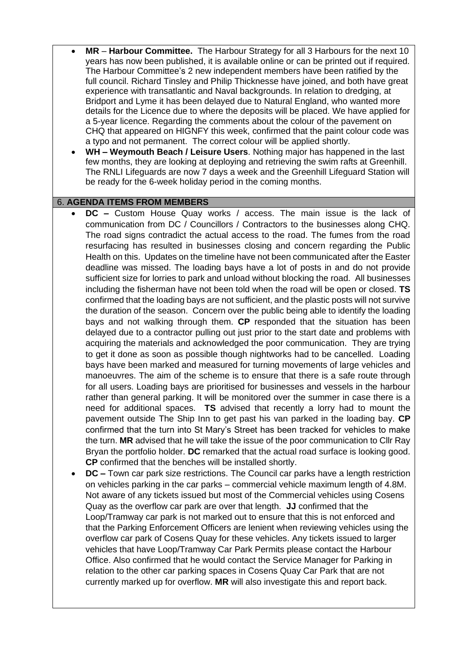- **MR Harbour Committee.** The Harbour Strategy for all 3 Harbours for the next 10 years has now been published, it is available online or can be printed out if required. The Harbour Committee's 2 new independent members have been ratified by the full council. Richard Tinsley and Philip Thicknesse have joined, and both have great experience with transatlantic and Naval backgrounds. In relation to dredging, at Bridport and Lyme it has been delayed due to Natural England, who wanted more details for the Licence due to where the deposits will be placed. We have applied for a 5-year licence. Regarding the comments about the colour of the pavement on CHQ that appeared on HIGNFY this week, confirmed that the paint colour code was a typo and not permanent. The correct colour will be applied shortly.
- **WH – Weymouth Beach / Leisure Users**. Nothing major has happened in the last few months, they are looking at deploying and retrieving the swim rafts at Greenhill. The RNLI Lifeguards are now 7 days a week and the Greenhill Lifeguard Station will be ready for the 6-week holiday period in the coming months.

### 6. **AGENDA ITEMS FROM MEMBERS**

- **DC –** Custom House Quay works / access. The main issue is the lack of communication from DC / Councillors / Contractors to the businesses along CHQ. The road signs contradict the actual access to the road. The fumes from the road resurfacing has resulted in businesses closing and concern regarding the Public Health on this. Updates on the timeline have not been communicated after the Easter deadline was missed. The loading bays have a lot of posts in and do not provide sufficient size for lorries to park and unload without blocking the road. All businesses including the fisherman have not been told when the road will be open or closed. **TS** confirmed that the loading bays are not sufficient, and the plastic posts will not survive the duration of the season. Concern over the public being able to identify the loading bays and not walking through them. **CP** responded that the situation has been delayed due to a contractor pulling out just prior to the start date and problems with acquiring the materials and acknowledged the poor communication. They are trying to get it done as soon as possible though nightworks had to be cancelled. Loading bays have been marked and measured for turning movements of large vehicles and manoeuvres. The aim of the scheme is to ensure that there is a safe route through for all users. Loading bays are prioritised for businesses and vessels in the harbour rather than general parking. It will be monitored over the summer in case there is a need for additional spaces. **TS** advised that recently a lorry had to mount the pavement outside The Ship Inn to get past his van parked in the loading bay. **CP** confirmed that the turn into St Mary's Street has been tracked for vehicles to make the turn. **MR** advised that he will take the issue of the poor communication to Cllr Ray Bryan the portfolio holder. **DC** remarked that the actual road surface is looking good. **CP** confirmed that the benches will be installed shortly.
- **DC –** Town car park size restrictions. The Council car parks have a length restriction on vehicles parking in the car parks – commercial vehicle maximum length of 4.8M. Not aware of any tickets issued but most of the Commercial vehicles using Cosens Quay as the overflow car park are over that length. **JJ** confirmed that the Loop/Tramway car park is not marked out to ensure that this is not enforced and that the Parking Enforcement Officers are lenient when reviewing vehicles using the overflow car park of Cosens Quay for these vehicles. Any tickets issued to larger vehicles that have Loop/Tramway Car Park Permits please contact the Harbour Office. Also confirmed that he would contact the Service Manager for Parking in relation to the other car parking spaces in Cosens Quay Car Park that are not currently marked up for overflow. **MR** will also investigate this and report back.